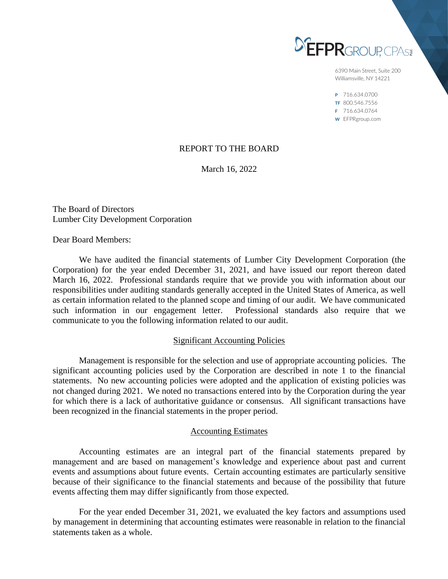

6390 Main Street, Suite 200 Williamsville, NY 14221

P 716.634.0700 TF 800.546.7556 F 716.634.0764 W EFPRgroup.com

# REPORT TO THE BOARD

March 16, 2022

The Board of Directors Lumber City Development Corporation

Dear Board Members:

We have audited the financial statements of Lumber City Development Corporation (the Corporation) for the year ended December 31, 2021, and have issued our report thereon dated March 16, 2022. Professional standards require that we provide you with information about our responsibilities under auditing standards generally accepted in the United States of America, as well as certain information related to the planned scope and timing of our audit. We have communicated such information in our engagement letter. Professional standards also require that we communicate to you the following information related to our audit.

## Significant Accounting Policies

Management is responsible for the selection and use of appropriate accounting policies. The significant accounting policies used by the Corporation are described in note 1 to the financial statements. No new accounting policies were adopted and the application of existing policies was not changed during 2021. We noted no transactions entered into by the Corporation during the year for which there is a lack of authoritative guidance or consensus. All significant transactions have been recognized in the financial statements in the proper period.

## Accounting Estimates

Accounting estimates are an integral part of the financial statements prepared by management and are based on management's knowledge and experience about past and current events and assumptions about future events. Certain accounting estimates are particularly sensitive because of their significance to the financial statements and because of the possibility that future events affecting them may differ significantly from those expected.

For the year ended December 31, 2021, we evaluated the key factors and assumptions used by management in determining that accounting estimates were reasonable in relation to the financial statements taken as a whole.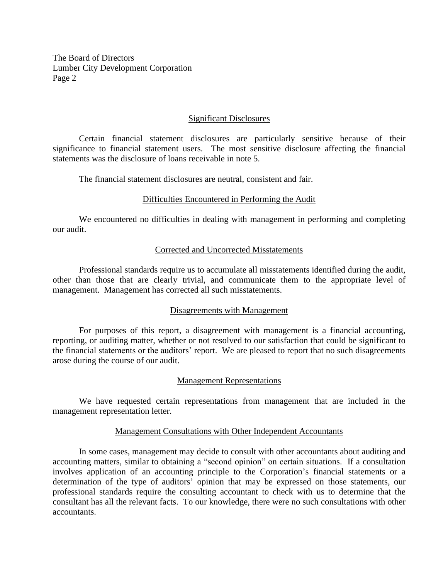The Board of Directors Lumber City Development Corporation Page 2

## Significant Disclosures

Certain financial statement disclosures are particularly sensitive because of their significance to financial statement users. The most sensitive disclosure affecting the financial statements was the disclosure of loans receivable in note 5.

The financial statement disclosures are neutral, consistent and fair.

## Difficulties Encountered in Performing the Audit

We encountered no difficulties in dealing with management in performing and completing our audit.

## Corrected and Uncorrected Misstatements

Professional standards require us to accumulate all misstatements identified during the audit, other than those that are clearly trivial, and communicate them to the appropriate level of management. Management has corrected all such misstatements.

### Disagreements with Management

For purposes of this report, a disagreement with management is a financial accounting, reporting, or auditing matter, whether or not resolved to our satisfaction that could be significant to the financial statements or the auditors' report. We are pleased to report that no such disagreements arose during the course of our audit.

### Management Representations

We have requested certain representations from management that are included in the management representation letter.

### Management Consultations with Other Independent Accountants

In some cases, management may decide to consult with other accountants about auditing and accounting matters, similar to obtaining a "second opinion" on certain situations. If a consultation involves application of an accounting principle to the Corporation's financial statements or a determination of the type of auditors' opinion that may be expressed on those statements, our professional standards require the consulting accountant to check with us to determine that the consultant has all the relevant facts. To our knowledge, there were no such consultations with other accountants.